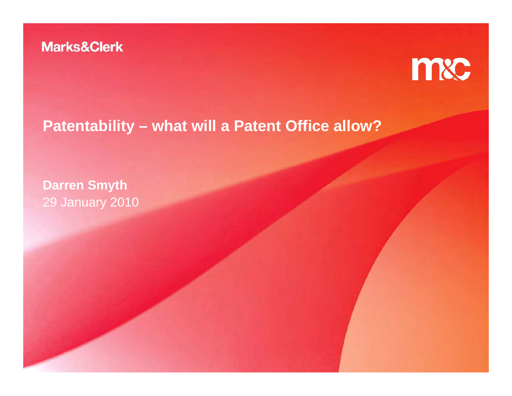

# **Patentability – what will a Patent Office allow?**

**Darren Smyth** 29 January 2010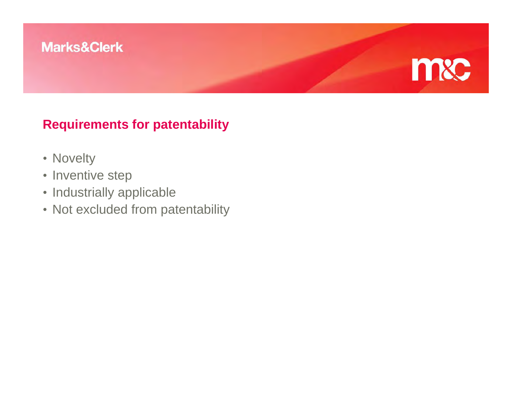# mxc

### **Requirements for patentability**

- Novelty
- Inventive step
- Industrially applicable
- Not excluded from patentability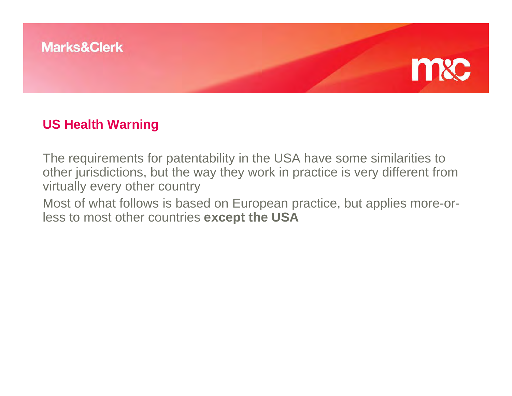

#### **US Health Warning**

The requirements for patentability in the USA have some similarities to other jurisdictions, but the way they work in practice is very different from virtually every other country

Most of what follows is based on European practice, but applies more-orless to most other countries **except the USA**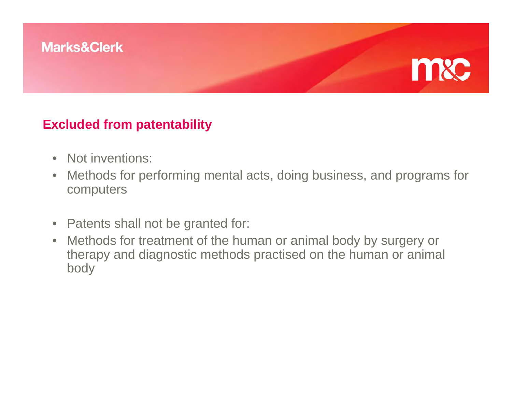

#### **Excluded from patentability**

- Not inventions:
- $\bullet$  Methods for performing mental acts, doing business, and programs for computers
- Patents shall not be granted for:
- Methods for treatment of the human or animal body by surgery or therapy and diagnostic methods practised on the human or animal body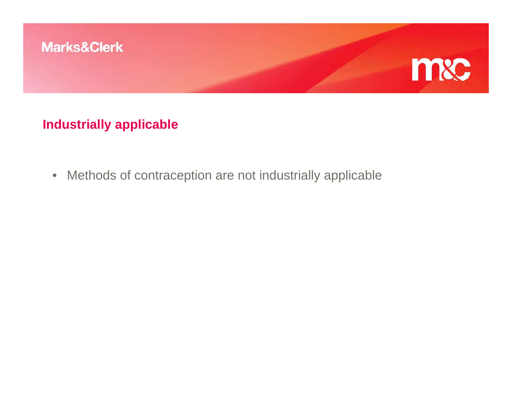

#### **Industrially applicable**

• Methods of contraception are not industrially applicable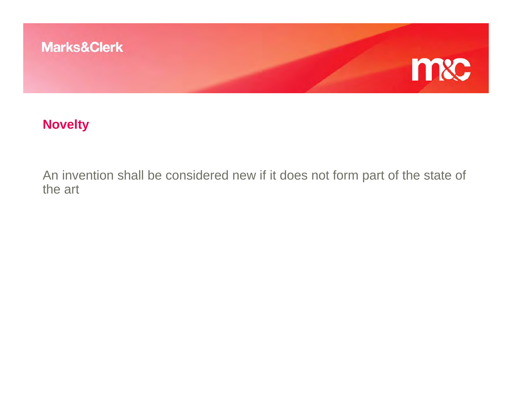

#### **Novelty**

An invention shall be considered new if it does not form part of the state of the art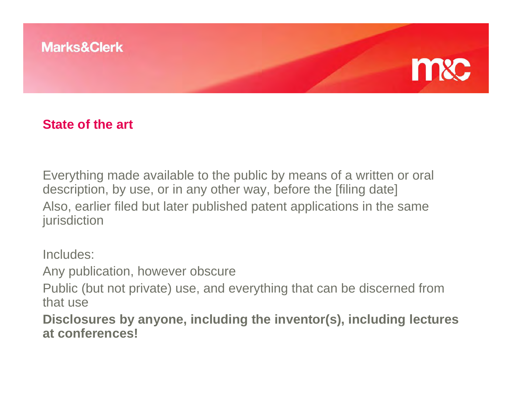

#### **State of the art**

Everything made available to the public by means of a written or oral description, by use, or in any other way, before the [filing date] Also, earlier filed but later published patent applications in the same jurisdiction

Includes:

Any publication, however obscure

Public (but not private) use, and everything that can be discerned from that use

**Disclosures by anyone, including the inventor(s), including lectures at conferences!**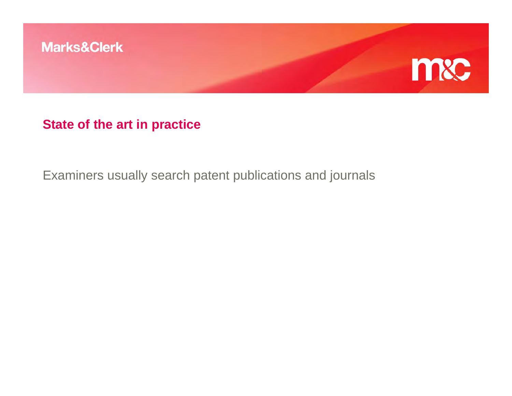

#### **State of the art in practice**

Examiners usually search patent publications and journals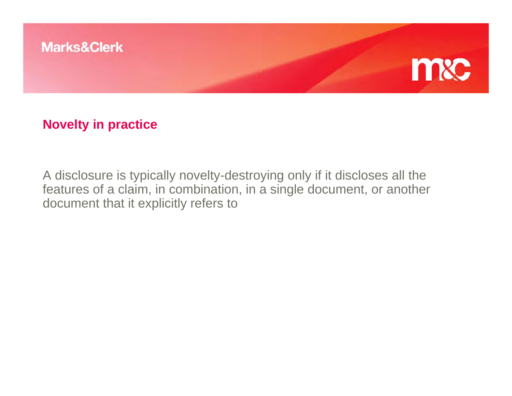

#### **Novelty in practice**

A disclosure is typically novelty-destroying only if it discloses all the features of a claim, in combination, in a single document, or another document that it explicitly refers to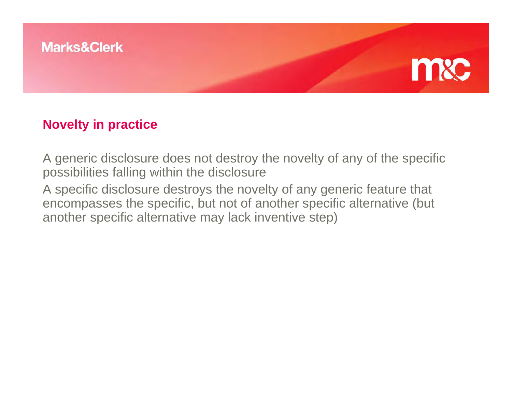



#### **Novelty in practice**

A generic disclosure does not destroy the novelty of any of the specific possibilities falling within the disclosure

A specific disclosure destroys the novelty of any generic feature that encompasses the specific, but not of another specific alternative (but another specific alternative may lack inventive step)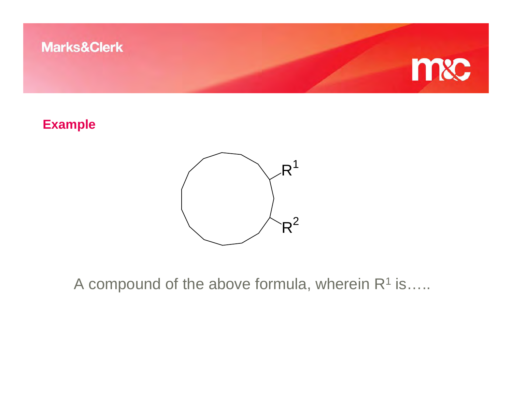

#### **Example**



A compound of the above formula, wherein  $R^1$  is.....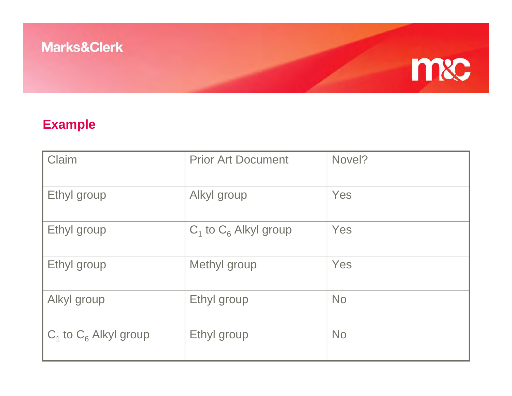# m&c

## **Example**

| Claim                      | <b>Prior Art Document</b>  | Novel?    |
|----------------------------|----------------------------|-----------|
| Ethyl group                | Alkyl group                | Yes       |
| Ethyl group                | $C_1$ to $C_6$ Alkyl group | Yes       |
| Ethyl group                | Methyl group               | Yes       |
| Alkyl group                | Ethyl group                | <b>No</b> |
| $C_1$ to $C_6$ Alkyl group | Ethyl group                | <b>No</b> |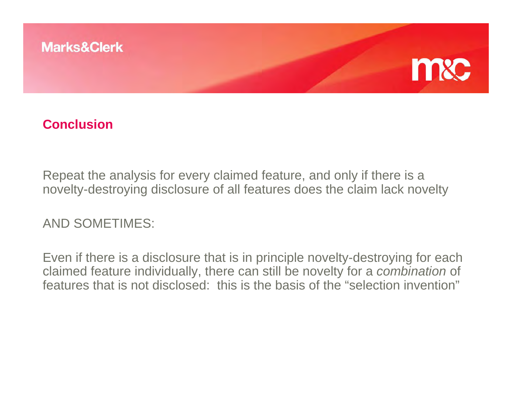

#### **Conclusion**

Repeat the analysis for every claimed feature, and only if there is a novelty-destroying disclosure of all features does the claim lack novelty

AND SOMETIMES:

Even if there is a disclosure that is in principle novelty-destroying for each claimed feature individually, there can still be novelty for a *combination* of features that is not disclosed: this is the basis of the "selection invention"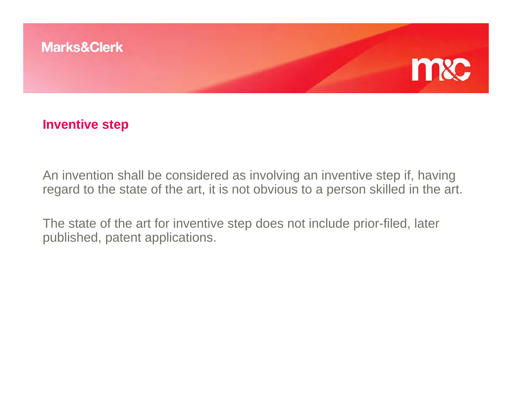

#### **Inventive step**

An invention shall be considered as involving an inventive step if, having regard to the state of the art, it is not obvious to a person skilled in the art.

The state of the art for inventive step does not include prior-filed, later published, patent applications.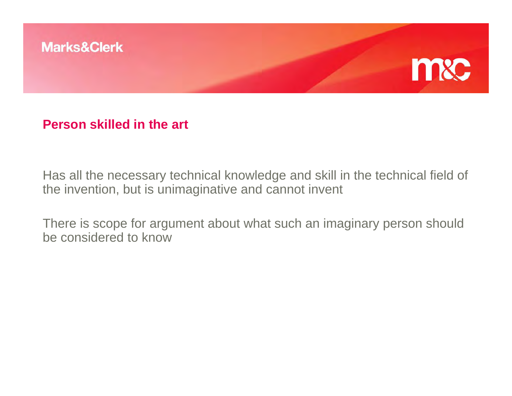

#### **Person skilled in the art**

Has all the necessary technical knowledge and skill in the technical field of the invention, but is unimaginative and cannot invent

There is scope for argument about what such an imaginary person should be considered to know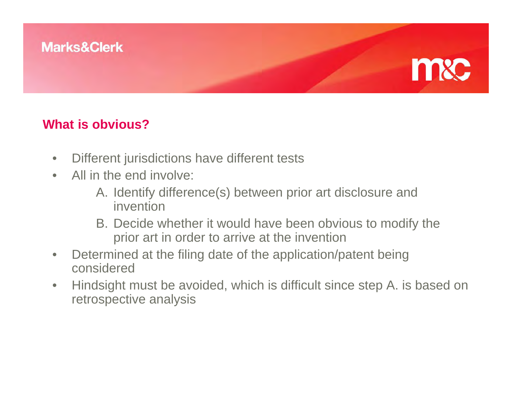

#### **What is obvious?**

- •Different jurisdictions have different tests
- $\bullet$  All in the end involve:
	- A. Identify difference(s) between prior art disclosure and invention
	- B. Decide whether it would have been obvious to modify the prior art in order to arrive at the invention
- $\bullet$  Determined at the filing date of the application/patent being considered
- $\bullet$  Hindsight must be avoided, which is difficult since step A. is based on retrospective analysis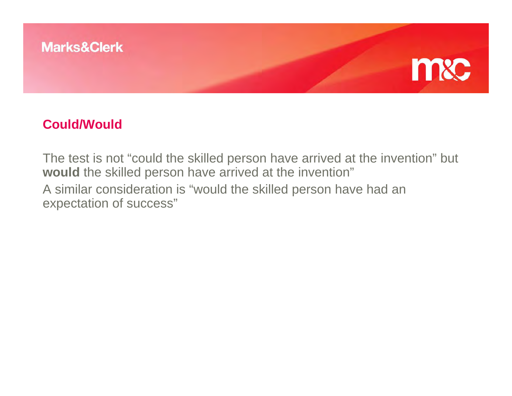



#### **Could/Would**

The test is not "could the skilled person have arrived at the invention" but **would** the skilled person have arrived at the invention" A similar consideration is "would the skilled person have had an expectation of success"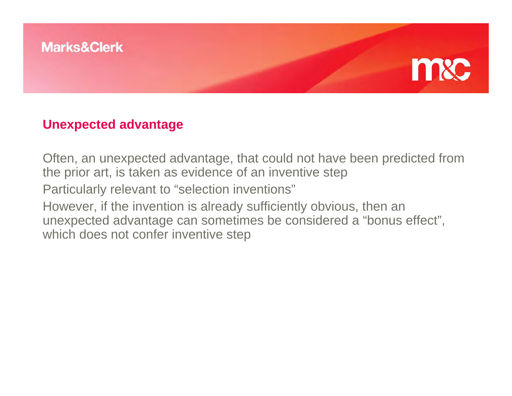



Often, an unexpected advantage, that could not have been predicted from the prior art, is taken as evidence of an inventive step Particularly relevant to "selection inventions" However, if the invention is already sufficiently obvious, then an unexpected advantage can sometimes be considered a "bonus effect", which does not confer inventive step

mxc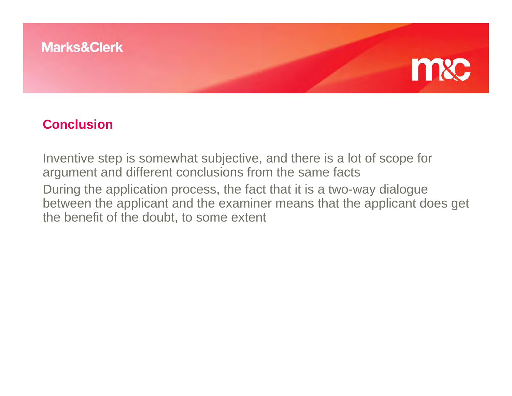



#### **Conclusion**

Inventive step is somewhat subjective, and there is a lot of scope for argument and different conclusions from the same facts During the application process, the fact that it is a two-way dialogue between the applicant and the examiner means that the applicant does get the benefit of the doubt, to some extent